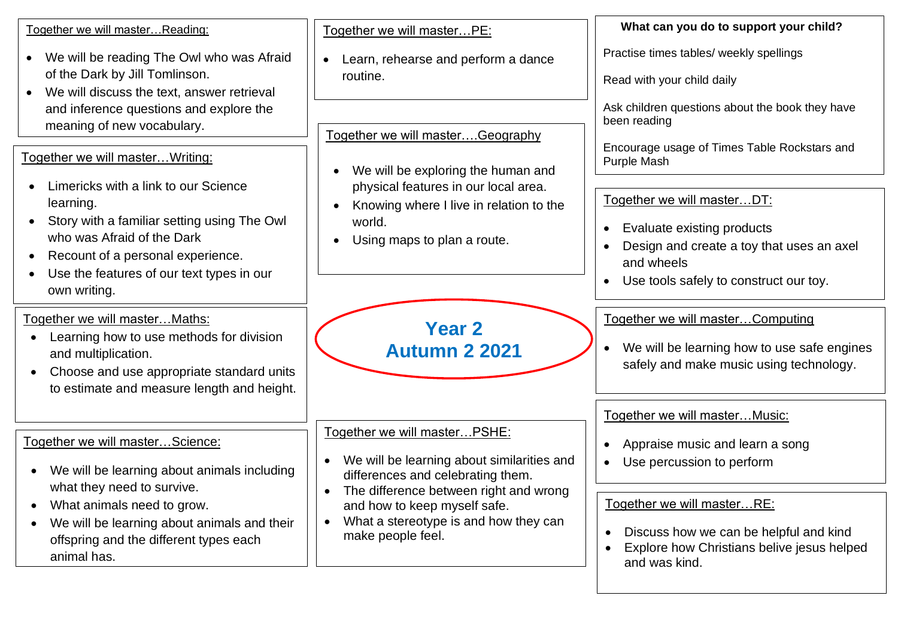Together we will master…Reading:

- We will be reading The Owl who was Afraid of the Dark by Jill Tomlinson.
- We will discuss the text, answer retrieval and inference questions and explore the meaning of new vocabulary.

Together we will master…Writing:

- Limericks with a link to our Science learning.
- Story with a familiar setting using The Owl who was Afraid of the Dark
- Recount of a personal experience.
- Use the features of our text types in our own writing.

Together we will master…Maths:

- Learning how to use methods for division and multiplication.
- Choose and use appropriate standard units to estimate and measure length and height.

Together we will master…Science:

- We will be learning about animals including what they need to survive.
- What animals need to grow.
- We will be learning about animals and their offspring and the different types each animal has.

Together we will master…PE:

• Learn, rehearse and perform a dance routine.

Together we will master….Geography

- We will be exploring the human and physical features in our local area.
- Knowing where I live in relation to the world.
- Using maps to plan a route.

**Year 2 Autumn 2 2021**

Together we will master…PSHE:

- We will be learning about similarities and differences and celebrating them.
- The difference between right and wrong and how to keep myself safe.
- What a stereotype is and how they can make people feel.

**What can you do to support your child?**

Practise times tables/ weekly spellings

Read with your child daily

Ask children questions about the book they have been reading

Encourage usage of Times Table Rockstars and Purple Mash

Together we will master…DT:

- Evaluate existing products
- Design and create a toy that uses an axel and wheels
- Use tools safely to construct our toy.

Together we will master…Computing

• We will be learning how to use safe engines safely and make music using technology.

Together we will master…Music:

- Appraise music and learn a song
- Use percussion to perform

Together we will master…RE:

- Discuss how we can be helpful and kind
- Explore how Christians belive jesus helped and was kind.